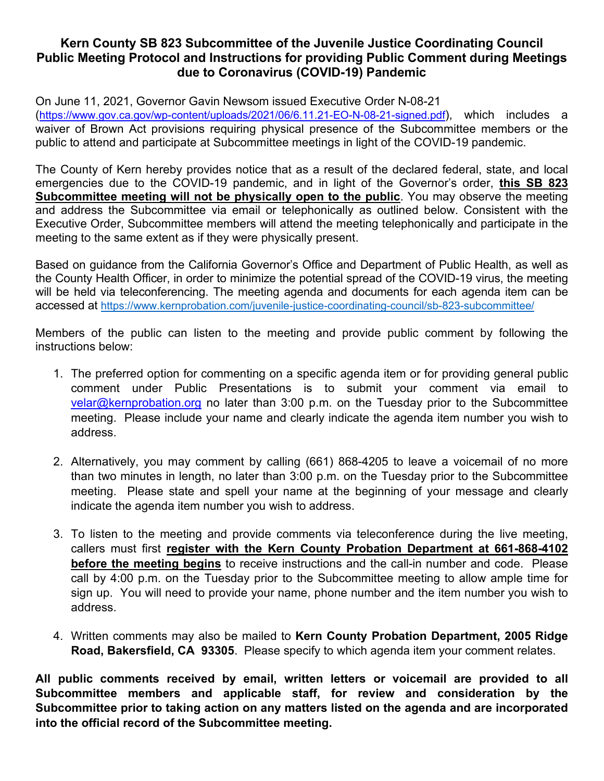# **Kern County SB 823 Subcommittee of the Juvenile Justice Coordinating Council Public Meeting Protocol and Instructions for providing Public Comment during Meetings due to Coronavirus (COVID-19) Pandemic**

On June 11, 2021, Governor Gavin Newsom issued Executive Order N-08-21 [\(https://www.gov.ca.gov/wp-content/uploads/2021/06/6.11.21-EO-N-08-21-signed.pdf\)](https://www.gov.ca.gov/wp-content/uploads/2021/06/6.11.21-EO-N-08-21-signed.pdf), which includes a waiver of Brown Act provisions requiring physical presence of the Subcommittee members or the public to attend and participate at Subcommittee meetings in light of the COVID-19 pandemic.

The County of Kern hereby provides notice that as a result of the declared federal, state, and local emergencies due to the COVID-19 pandemic, and in light of the Governor's order, **this SB 823 Subcommittee meeting will not be physically open to the public**. You may observe the meeting and address the Subcommittee via email or telephonically as outlined below. Consistent with the Executive Order, Subcommittee members will attend the meeting telephonically and participate in the meeting to the same extent as if they were physically present.

Based on guidance from the California Governor's Office and Department of Public Health, as well as the County Health Officer, in order to minimize the potential spread of the COVID-19 virus, the meeting will be held via teleconferencing. The meeting agenda and documents for each agenda item can be accessed at<https://www.kernprobation.com/juvenile-justice-coordinating-council/sb-823-subcommittee/>

Members of the public can listen to the meeting and provide public comment by following the instructions below:

- 1. The preferred option for commenting on a specific agenda item or for providing general public comment under Public Presentations is to submit your comment via email to [velar@kernprobation.org](mailto:velar@kernprobation.org) no later than 3:00 p.m. on the Tuesday prior to the Subcommittee meeting. Please include your name and clearly indicate the agenda item number you wish to address.
- 2. Alternatively, you may comment by calling (661) 868-4205 to leave a voicemail of no more than two minutes in length, no later than 3:00 p.m. on the Tuesday prior to the Subcommittee meeting. Please state and spell your name at the beginning of your message and clearly indicate the agenda item number you wish to address.
- 3. To listen to the meeting and provide comments via teleconference during the live meeting, callers must first **register with the Kern County Probation Department at 661-868-4102 before the meeting begins** to receive instructions and the call-in number and code. Please call by 4:00 p.m. on the Tuesday prior to the Subcommittee meeting to allow ample time for sign up. You will need to provide your name, phone number and the item number you wish to address.
- 4. Written comments may also be mailed to **Kern County Probation Department, 2005 Ridge Road, Bakersfield, CA 93305**. Please specify to which agenda item your comment relates.

**All public comments received by email, written letters or voicemail are provided to all Subcommittee members and applicable staff, for review and consideration by the Subcommittee prior to taking action on any matters listed on the agenda and are incorporated into the official record of the Subcommittee meeting.**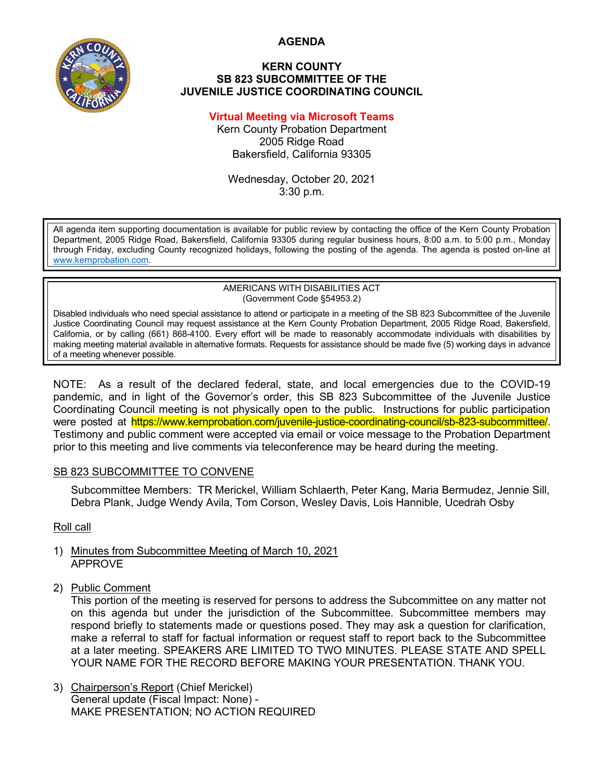**AGENDA**



#### **KERN COUNTY SB 823 SUBCOMMITTEE OF THE JUVENILE JUSTICE COORDINATING COUNCIL**

## **Virtual Meeting via Microsoft Teams**

Kern County Probation Department 2005 Ridge Road Bakersfield, California 93305

Wednesday, October 20, 2021 3:30 p.m.

All agenda item supporting documentation is available for public review by contacting the office of the Kern County Probation Department, 2005 Ridge Road, Bakersfield, California 93305 during regular business hours, 8:00 a.m. to 5:00 p.m., Monday through Friday, excluding County recognized holidays, following the posting of the agenda. The agenda is posted on-line at [www.kernprobation.com.](http://www.kernprobation.com/)

#### AMERICANS WITH DISABILITIES ACT (Government Code §54953.2)

Disabled individuals who need special assistance to attend or participate in a meeting of the SB 823 Subcommittee of the Juvenile Justice Coordinating Council may request assistance at the Kern County Probation Department, 2005 Ridge Road, Bakersfield, California, or by calling (661) 868-4100. Every effort will be made to reasonably accommodate individuals with disabilities by making meeting material available in alternative formats. Requests for assistance should be made five (5) working days in advance of a meeting whenever possible.

NOTE: As a result of the declared federal, state, and local emergencies due to the COVID-19 pandemic, and in light of the Governor's order, this SB 823 Subcommittee of the Juvenile Justice Coordinating Council meeting is not physically open to the public. Instructions for public participation were posted at https://www.kernprobation.com/juvenile-justice-coordinating-council/sb-823-subcommittee/. Testimony and public comment were accepted via email or voice message to the Probation Department prior to this meeting and live comments via teleconference may be heard during the meeting.

## SB 823 SUBCOMMITTEE TO CONVENE

Subcommittee Members: TR Merickel, William Schlaerth, Peter Kang, Maria Bermudez, Jennie Sill, Debra Plank, Judge Wendy Avila, Tom Corson, Wesley Davis, Lois Hannible, Ucedrah Osby

Roll call

- 1) Minutes from Subcommittee Meeting of March 10, 2021 APPROVE
- 2) Public Comment

This portion of the meeting is reserved for persons to address the Subcommittee on any matter not on this agenda but under the jurisdiction of the Subcommittee. Subcommittee members may respond briefly to statements made or questions posed. They may ask a question for clarification, make a referral to staff for factual information or request staff to report back to the Subcommittee at a later meeting. SPEAKERS ARE LIMITED TO TWO MINUTES. PLEASE STATE AND SPELL YOUR NAME FOR THE RECORD BEFORE MAKING YOUR PRESENTATION. THANK YOU.

3) Chairperson's Report (Chief Merickel) General update (Fiscal Impact: None) - MAKE PRESENTATION; NO ACTION REQUIRED